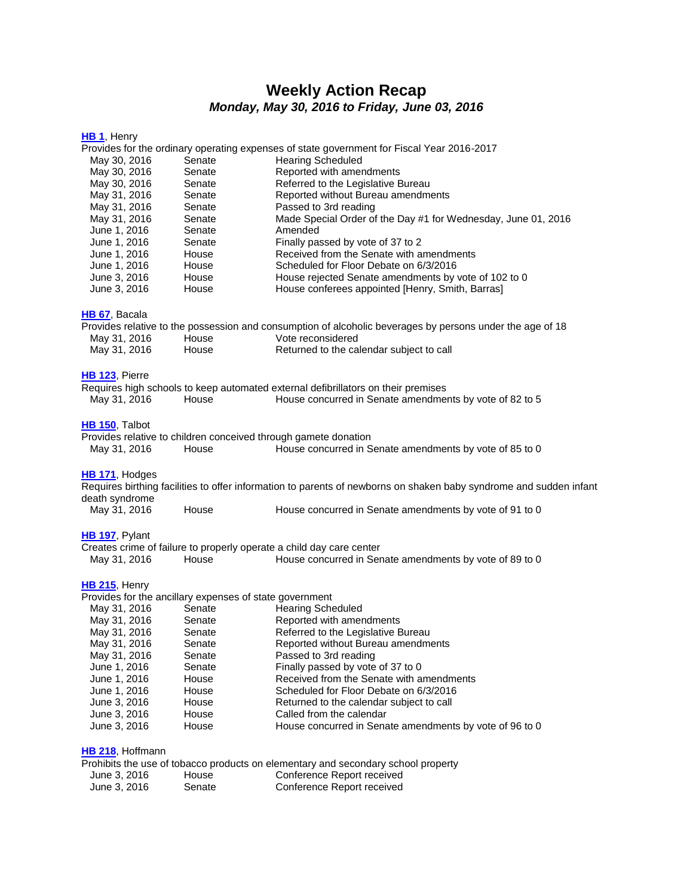# **Weekly Action Recap** *Monday, May 30, 2016 to Friday, June 03, 2016*

| HB 1, Henry                                             |                                                                                            |                                                                                                                    |  |  |
|---------------------------------------------------------|--------------------------------------------------------------------------------------------|--------------------------------------------------------------------------------------------------------------------|--|--|
|                                                         | Provides for the ordinary operating expenses of state government for Fiscal Year 2016-2017 |                                                                                                                    |  |  |
| May 30, 2016<br>Senate                                  |                                                                                            | <b>Hearing Scheduled</b>                                                                                           |  |  |
| May 30, 2016                                            | Senate                                                                                     | Reported with amendments                                                                                           |  |  |
| May 30, 2016                                            | Senate                                                                                     | Referred to the Legislative Bureau                                                                                 |  |  |
| May 31, 2016                                            | Senate                                                                                     | Reported without Bureau amendments                                                                                 |  |  |
| May 31, 2016                                            | Senate                                                                                     | Passed to 3rd reading                                                                                              |  |  |
| May 31, 2016                                            | Senate                                                                                     | Made Special Order of the Day #1 for Wednesday, June 01, 2016                                                      |  |  |
| June 1, 2016                                            | Senate                                                                                     | Amended                                                                                                            |  |  |
| June 1, 2016                                            | Senate                                                                                     | Finally passed by vote of 37 to 2                                                                                  |  |  |
| June 1, 2016                                            | House                                                                                      | Received from the Senate with amendments                                                                           |  |  |
| June 1, 2016                                            | House                                                                                      | Scheduled for Floor Debate on 6/3/2016                                                                             |  |  |
| June 3, 2016                                            | House                                                                                      | House rejected Senate amendments by vote of 102 to 0                                                               |  |  |
| June 3, 2016                                            | House                                                                                      | House conferees appointed [Henry, Smith, Barras]                                                                   |  |  |
| HB 67, Bacala                                           |                                                                                            |                                                                                                                    |  |  |
|                                                         |                                                                                            | Provides relative to the possession and consumption of alcoholic beverages by persons under the age of 18          |  |  |
| May 31, 2016                                            | House                                                                                      | Vote reconsidered                                                                                                  |  |  |
| May 31, 2016                                            | House                                                                                      | Returned to the calendar subject to call                                                                           |  |  |
|                                                         |                                                                                            |                                                                                                                    |  |  |
| HB 123, Pierre                                          |                                                                                            | Requires high schools to keep automated external defibrillators on their premises                                  |  |  |
| May 31, 2016                                            | House                                                                                      | House concurred in Senate amendments by vote of 82 to 5                                                            |  |  |
|                                                         |                                                                                            |                                                                                                                    |  |  |
| HB 150, Talbot                                          |                                                                                            |                                                                                                                    |  |  |
|                                                         |                                                                                            | Provides relative to children conceived through gamete donation                                                    |  |  |
| May 31, 2016                                            | House                                                                                      | House concurred in Senate amendments by vote of 85 to 0                                                            |  |  |
| HB 171, Hodges                                          |                                                                                            |                                                                                                                    |  |  |
|                                                         |                                                                                            | Requires birthing facilities to offer information to parents of newborns on shaken baby syndrome and sudden infant |  |  |
| death syndrome                                          |                                                                                            |                                                                                                                    |  |  |
| May 31, 2016                                            | House                                                                                      | House concurred in Senate amendments by vote of 91 to 0                                                            |  |  |
| HB 197, Pylant                                          |                                                                                            |                                                                                                                    |  |  |
|                                                         |                                                                                            | Creates crime of failure to properly operate a child day care center                                               |  |  |
| May 31, 2016                                            | House                                                                                      | House concurred in Senate amendments by vote of 89 to 0                                                            |  |  |
| HB 215, Henry                                           |                                                                                            |                                                                                                                    |  |  |
| Provides for the ancillary expenses of state government |                                                                                            |                                                                                                                    |  |  |
| May 31, 2016                                            | Senate                                                                                     | <b>Hearing Scheduled</b>                                                                                           |  |  |
| May 31, 2016                                            | Senate                                                                                     | Reported with amendments                                                                                           |  |  |
| May 31, 2016                                            | Senate                                                                                     | Referred to the Legislative Bureau                                                                                 |  |  |
| May 31, 2016                                            | Senate                                                                                     | Reported without Bureau amendments                                                                                 |  |  |
| May 31, 2016                                            | Senate                                                                                     | Passed to 3rd reading                                                                                              |  |  |
| June 1, 2016                                            | Senate                                                                                     | Finally passed by vote of 37 to 0                                                                                  |  |  |
| June 1, 2016                                            | House                                                                                      | Received from the Senate with amendments                                                                           |  |  |
| June 1, 2016                                            | House                                                                                      | Scheduled for Floor Debate on 6/3/2016                                                                             |  |  |
| June 3, 2016                                            | House                                                                                      | Returned to the calendar subject to call                                                                           |  |  |
| June 3, 2016                                            | House                                                                                      | Called from the calendar                                                                                           |  |  |
| June 3, 2016                                            | House                                                                                      | House concurred in Senate amendments by vote of 96 to 0                                                            |  |  |
|                                                         |                                                                                            |                                                                                                                    |  |  |
| HB 218, Hoffmann                                        |                                                                                            |                                                                                                                    |  |  |
|                                                         |                                                                                            | Prohibits the use of tobacco products on elementary and secondary school property                                  |  |  |
| June 3, 2016                                            | House                                                                                      | Conference Report received                                                                                         |  |  |
| June 3, 2016                                            | Senate                                                                                     | Conference Report received                                                                                         |  |  |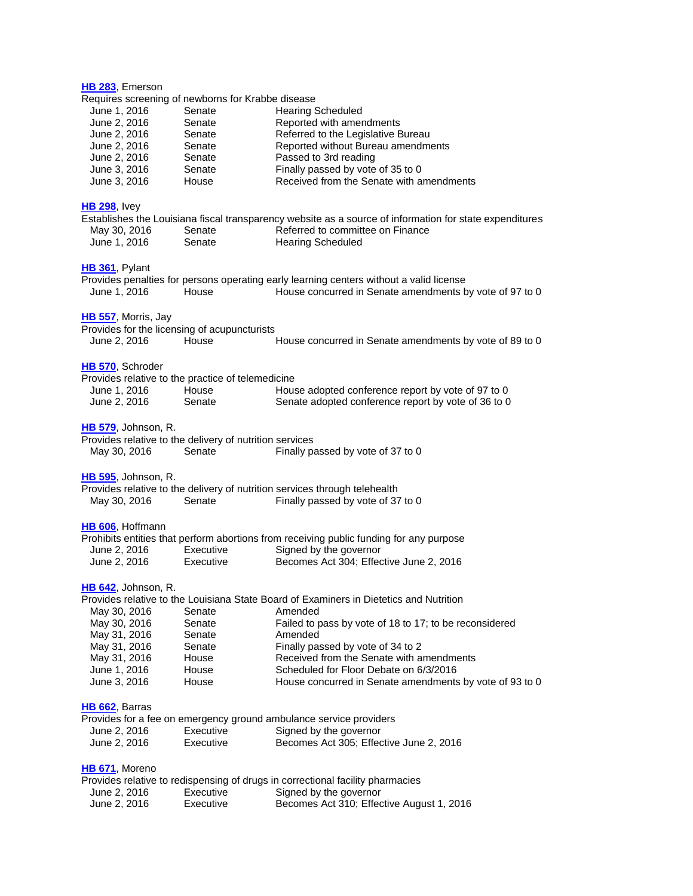| HB 283, Emerson                                                         |                        |                                                                                                         |
|-------------------------------------------------------------------------|------------------------|---------------------------------------------------------------------------------------------------------|
| Requires screening of newborns for Krabbe disease                       |                        |                                                                                                         |
| June 1, 2016                                                            | Senate                 | <b>Hearing Scheduled</b>                                                                                |
| June 2, 2016                                                            | Senate                 | Reported with amendments                                                                                |
| June 2, 2016                                                            | Senate                 | Referred to the Legislative Bureau                                                                      |
| June 2, 2016                                                            | Senate                 | Reported without Bureau amendments                                                                      |
| June 2, 2016                                                            | Senate<br>Senate       | Passed to 3rd reading                                                                                   |
| June 3, 2016<br>June 3, 2016                                            | House                  | Finally passed by vote of 35 to 0<br>Received from the Senate with amendments                           |
|                                                                         |                        |                                                                                                         |
| <b>HB 298, Ivey</b>                                                     |                        |                                                                                                         |
|                                                                         |                        | Establishes the Louisiana fiscal transparency website as a source of information for state expenditures |
| May 30, 2016                                                            | Senate                 | Referred to committee on Finance                                                                        |
| June 1, 2016                                                            | Senate                 | <b>Hearing Scheduled</b>                                                                                |
|                                                                         |                        |                                                                                                         |
| HB 361, Pylant                                                          |                        |                                                                                                         |
|                                                                         | House                  | Provides penalties for persons operating early learning centers without a valid license                 |
| June 1, 2016                                                            |                        | House concurred in Senate amendments by vote of 97 to 0                                                 |
| HB 557, Morris, Jay                                                     |                        |                                                                                                         |
| Provides for the licensing of acupuncturists                            |                        |                                                                                                         |
| June 2, 2016                                                            | House                  | House concurred in Senate amendments by vote of 89 to 0                                                 |
|                                                                         |                        |                                                                                                         |
| HB 570, Schroder                                                        |                        |                                                                                                         |
| Provides relative to the practice of telemedicine                       |                        |                                                                                                         |
| June 1, 2016                                                            | House                  | House adopted conference report by vote of 97 to 0                                                      |
| June 2, 2016                                                            | Senate                 | Senate adopted conference report by vote of 36 to 0                                                     |
|                                                                         |                        |                                                                                                         |
| HB 579, Johnson, R.                                                     |                        |                                                                                                         |
| Provides relative to the delivery of nutrition services<br>May 30, 2016 | Senate                 | Finally passed by vote of 37 to 0                                                                       |
|                                                                         |                        |                                                                                                         |
| <b>HB 595, Johnson, R.</b>                                              |                        |                                                                                                         |
|                                                                         |                        | Provides relative to the delivery of nutrition services through telehealth                              |
| May 30, 2016                                                            | Senate                 | Finally passed by vote of 37 to 0                                                                       |
|                                                                         |                        |                                                                                                         |
| HB 606, Hoffmann                                                        |                        |                                                                                                         |
|                                                                         |                        | Prohibits entities that perform abortions from receiving public funding for any purpose                 |
| June 2, 2016                                                            | Executive              | Signed by the governor                                                                                  |
| June 2, 2016                                                            | Executive              | Becomes Act 304; Effective June 2, 2016                                                                 |
|                                                                         |                        |                                                                                                         |
| HB 642, Johnson, R.                                                     |                        |                                                                                                         |
|                                                                         |                        | Provides relative to the Louisiana State Board of Examiners in Dietetics and Nutrition                  |
| May 30, 2016                                                            | Senate                 | Amended                                                                                                 |
| May 30, 2016                                                            | Senate                 | Failed to pass by vote of 18 to 17; to be reconsidered                                                  |
| May 31, 2016                                                            | Senate                 | Amended                                                                                                 |
| May 31, 2016                                                            | Senate                 | Finally passed by vote of 34 to 2                                                                       |
| May 31, 2016                                                            | House                  | Received from the Senate with amendments<br>Scheduled for Floor Debate on 6/3/2016                      |
| June 1, 2016<br>June 3, 2016                                            | House<br>House         | House concurred in Senate amendments by vote of 93 to 0                                                 |
|                                                                         |                        |                                                                                                         |
| HB 662, Barras                                                          |                        |                                                                                                         |
|                                                                         |                        | Provides for a fee on emergency ground ambulance service providers                                      |
| June 2, 2016                                                            | Executive              | Signed by the governor                                                                                  |
| June 2, 2016                                                            | Executive              | Becomes Act 305; Effective June 2, 2016                                                                 |
|                                                                         |                        |                                                                                                         |
| HB 671, Moreno                                                          |                        |                                                                                                         |
|                                                                         |                        | Provides relative to redispensing of drugs in correctional facility pharmacies                          |
| June 2, 2016<br>June 2, 2016                                            | Executive<br>Executive | Signed by the governor<br>Becomes Act 310; Effective August 1, 2016                                     |
|                                                                         |                        |                                                                                                         |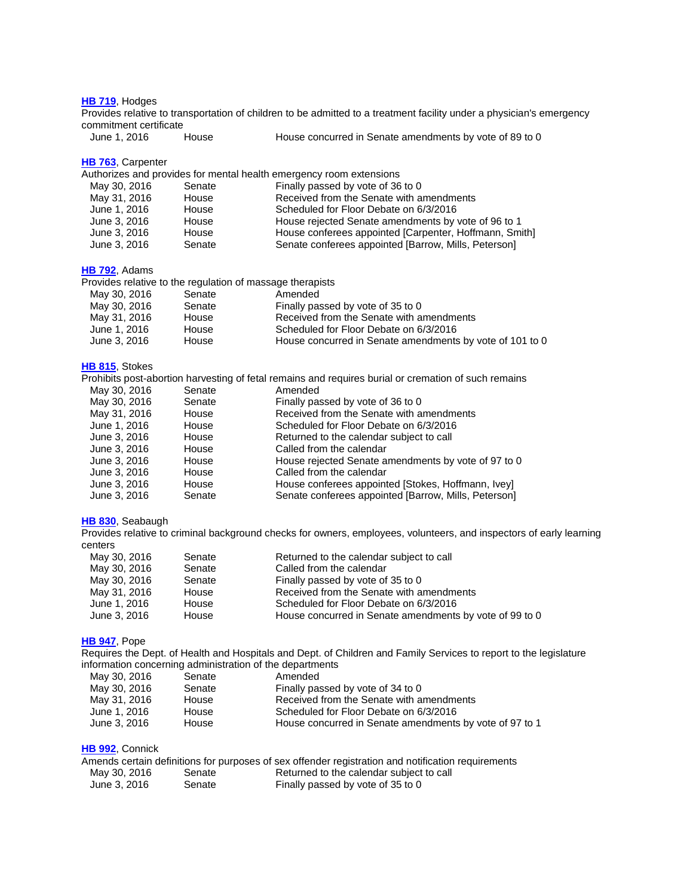#### **HB [719](http://lanb.me/inst/2016rs/hb/07/16rs-hb719_enrolled.pdf)**, Hodges

Provides relative to transportation of children to be admitted to a treatment facility under a physician's emergency commitment certificate<br>June 1, 2016 House

House concurred in Senate amendments by vote of 89 to 0

### **HB [763](http://lanb.me/inst/2016rs/hb/07/16rs-hb763_reengrossed.pdf)**, Carpenter

Authorizes and provides for mental health emergency room extensions

| May 30, 2016 | Senate | Finally passed by vote of 36 to 0                      |
|--------------|--------|--------------------------------------------------------|
| May 31, 2016 | House  | Received from the Senate with amendments               |
| June 1, 2016 | House  | Scheduled for Floor Debate on 6/3/2016                 |
| June 3, 2016 | House  | House rejected Senate amendments by vote of 96 to 1    |
| June 3, 2016 | House  | House conferees appointed [Carpenter, Hoffmann, Smith] |
| June 3, 2016 | Senate | Senate conferees appointed [Barrow, Mills, Peterson]   |

## **HB [792](http://lanb.me/inst/2016rs/hb/07/16rs-hb792_reengrossed.pdf)**, Adams

Provides relative to the regulation of massage therapists

| May 30, 2016 | Senate | Amended                                                  |
|--------------|--------|----------------------------------------------------------|
| May 30, 2016 | Senate | Finally passed by vote of 35 to 0                        |
| May 31, 2016 | House  | Received from the Senate with amendments                 |
| June 1, 2016 | House  | Scheduled for Floor Debate on 6/3/2016                   |
| June 3, 2016 | House  | House concurred in Senate amendments by vote of 101 to 0 |

## **HB [815](http://lanb.me/inst/2016rs/hb/08/16rs-hb815_engrossed.pdf)**, Stokes

Prohibits post-abortion harvesting of fetal remains and requires burial or cremation of such remains

| May 30, 2016 | Senate | Amended                                              |
|--------------|--------|------------------------------------------------------|
| May 30, 2016 | Senate | Finally passed by vote of 36 to 0                    |
| May 31, 2016 | House  | Received from the Senate with amendments             |
| June 1, 2016 | House  | Scheduled for Floor Debate on 6/3/2016               |
| June 3, 2016 | House  | Returned to the calendar subject to call             |
| June 3, 2016 | House  | Called from the calendar                             |
| June 3, 2016 | House  | House rejected Senate amendments by vote of 97 to 0  |
| June 3, 2016 | House  | Called from the calendar                             |
| June 3, 2016 | House  | House conferees appointed [Stokes, Hoffmann, Ivey]   |
| June 3, 2016 | Senate | Senate conferees appointed [Barrow, Mills, Peterson] |

### **HB [830](http://lanb.me/inst/2016rs/hb/08/16rs-hb830_enrolled.pdf)**, Seabaugh

Provides relative to criminal background checks for owners, employees, volunteers, and inspectors of early learning centers

| May 30, 2016 | Senate | Returned to the calendar subject to call                |
|--------------|--------|---------------------------------------------------------|
| May 30, 2016 | Senate | Called from the calendar                                |
| May 30, 2016 | Senate | Finally passed by vote of 35 to 0                       |
| May 31, 2016 | House  | Received from the Senate with amendments                |
| June 1, 2016 | House  | Scheduled for Floor Debate on 6/3/2016                  |
| June 3, 2016 | House  | House concurred in Senate amendments by vote of 99 to 0 |

## **HB [947](http://lanb.me/inst/2016rs/hb/09/16rs-hb947_reengrossed.pdf)**, Pope

Requires the Dept. of Health and Hospitals and Dept. of Children and Family Services to report to the legislature information concerning administration of the departments

| May 30, 2016 | Senate | Amended                                                 |
|--------------|--------|---------------------------------------------------------|
| May 30, 2016 | Senate | Finally passed by vote of 34 to 0                       |
| May 31, 2016 | House  | Received from the Senate with amendments                |
| June 1, 2016 | House  | Scheduled for Floor Debate on 6/3/2016                  |
| June 3, 2016 | House  | House concurred in Senate amendments by vote of 97 to 1 |

#### **HB [992](http://lanb.me/inst/2016rs/hb/09/16rs-hb992_reengrossed.pdf)**, Connick

|              |        | Amends certain definitions for purposes of sex offender registration and notification requirements |
|--------------|--------|----------------------------------------------------------------------------------------------------|
| May 30, 2016 | Senate | Returned to the calendar subject to call                                                           |
| June 3, 2016 | Senate | Finally passed by vote of 35 to 0                                                                  |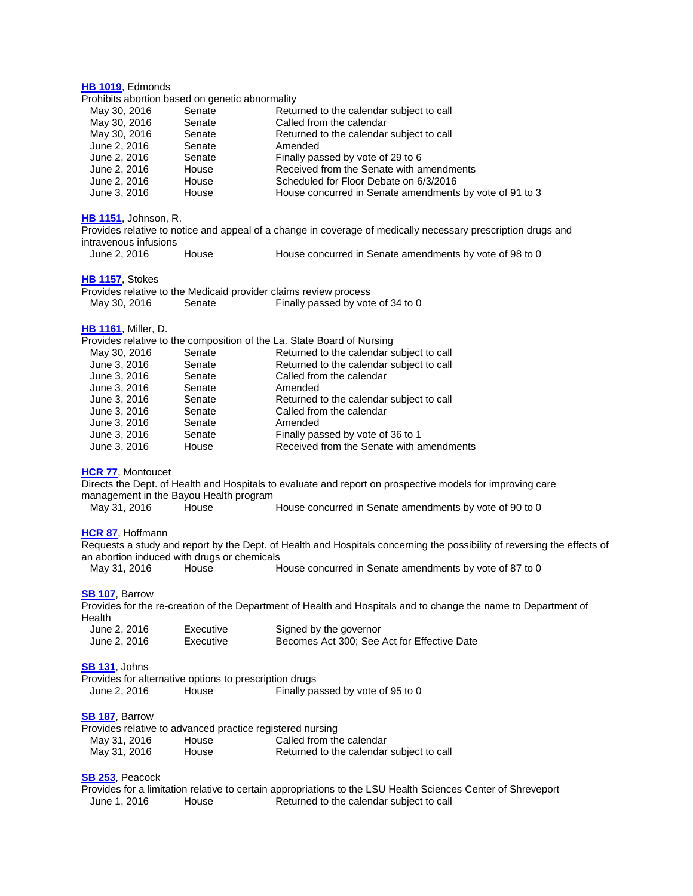## **HB [1019](http://lanb.me/inst/2016rs/hb/10/16rs-hb1019_reengrossed.pdf)**, Edmonds

#### Prohibits abortion based on genetic abnormality

| May 30, 2016 | Senate | Returned to the calendar subject to call                |
|--------------|--------|---------------------------------------------------------|
| May 30, 2016 | Senate | Called from the calendar                                |
| May 30, 2016 | Senate | Returned to the calendar subject to call                |
| June 2, 2016 | Senate | Amended                                                 |
| June 2, 2016 | Senate | Finally passed by vote of 29 to 6                       |
| June 2, 2016 | House  | Received from the Senate with amendments                |
| June 2, 2016 | House  | Scheduled for Floor Debate on 6/3/2016                  |
| June 3, 2016 | House  | House concurred in Senate amendments by vote of 91 to 3 |

## **HB [1151](http://lanb.me/inst/2016rs/hb/11/16rs-hb1151_enrolled.pdf)**, Johnson, R.

| Provides relative to notice and appeal of a change in coverage of medically necessary prescription drugs and |       |                                                         |  |
|--------------------------------------------------------------------------------------------------------------|-------|---------------------------------------------------------|--|
| intravenous infusions                                                                                        |       |                                                         |  |
| June 2, 2016                                                                                                 | House | House concurred in Senate amendments by yote of 98 to 0 |  |

## **HB [1157](http://lanb.me/inst/2016rs/hb/11/16rs-hb1157_enrolled.pdf)**, Stokes

|              |        | Provides relative to the Medicaid provider claims review process |
|--------------|--------|------------------------------------------------------------------|
| May 30, 2016 | Senate | Finally passed by vote of 34 to 0                                |

## **HB [1161](http://lanb.me/inst/2016rs/hb/11/16rs-hb1161_engrossed.pdf)**, Miller, D.

|              |        | Provides relative to the composition of the La. State Board of Nursing |
|--------------|--------|------------------------------------------------------------------------|
| May 30, 2016 | Senate | Returned to the calendar subject to call                               |
| June 3, 2016 | Senate | Returned to the calendar subject to call                               |
| June 3, 2016 | Senate | Called from the calendar                                               |
| June 3, 2016 | Senate | Amended                                                                |
| June 3, 2016 | Senate | Returned to the calendar subject to call                               |
| June 3, 2016 | Senate | Called from the calendar                                               |
| June 3, 2016 | Senate | Amended                                                                |
| June 3, 2016 | Senate | Finally passed by vote of 36 to 1                                      |
| June 3, 2016 | House  | Received from the Senate with amendments                               |
|              |        |                                                                        |

#### **[HCR](http://lanb.me/inst/2016rs/hcr/00/16rs-hcr77_enrolled.pdf) 77**, Montoucet

Directs the Dept. of Health and Hospitals to evaluate and report on prospective models for improving care management in the Bayou Health program

May 31, 2016 House House House concurred in Senate amendments by vote of 90 to 0

## **[HCR](http://lanb.me/inst/2016rs/hcr/00/16rs-hcr87_enrolled.pdf) 87**, Hoffmann

Requests a study and report by the Dept. of Health and Hospitals concerning the possibility of reversing the effects of an abortion induced with drugs or chemicals<br>May 31, 2016 House H House concurred in Senate amendments by vote of 87 to 0

## **SB [107](http://lanb.me/inst/2016rs/sb/01/16rs-sb107_act_300.pdf)**, Barrow

Provides for the re-creation of the Department of Health and Hospitals and to change the name to Department of Health

| June 2, 2016 | Executive | Signed by the governor                      |
|--------------|-----------|---------------------------------------------|
| June 2, 2016 | Executive | Becomes Act 300; See Act for Effective Date |

## **SB [131](http://lanb.me/inst/2016rs/sb/01/16rs-sb131_enrolled.pdf)**, Johns

|              |       | Provides for alternative options to prescription drugs |                                   |
|--------------|-------|--------------------------------------------------------|-----------------------------------|
| June 2, 2016 | House |                                                        | Finally passed by vote of 95 to 0 |

## **SB [187](http://lanb.me/inst/2016rs/sb/01/16rs-sb187_reengrossed.pdf)**, Barrow

|              |       | Provides relative to advanced practice registered nursing |
|--------------|-------|-----------------------------------------------------------|
| May 31, 2016 | House | Called from the calendar                                  |
| May 31, 2016 | House | Returned to the calendar subject to call                  |

## **SB [253](http://lanb.me/inst/2016rs/sb/02/16rs-sb253_reengrossed.pdf)**, Peacock

Provides for a limitation relative to certain appropriations to the LSU Health Sciences Center of Shreveport June 1, 2016 House Returned to the calendar subject to call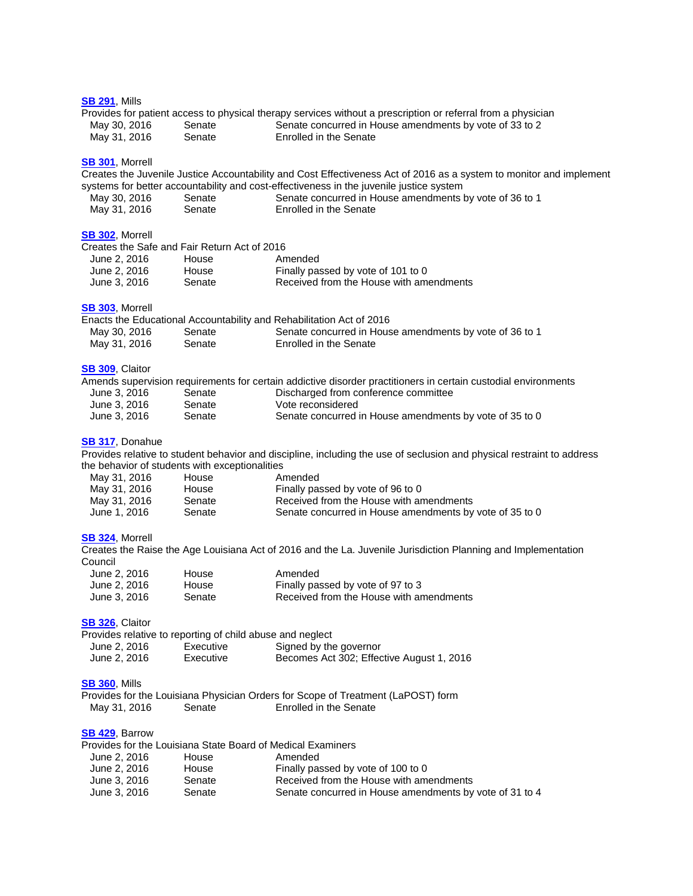#### **SB [291](http://lanb.me/inst/2016rs/sb/02/16rs-sb291_enrolled.pdf)**, Mills

|              |        | Provides for patient access to physical therapy services without a prescription or referral from a physician |
|--------------|--------|--------------------------------------------------------------------------------------------------------------|
| May 30, 2016 | Senate | Senate concurred in House amendments by vote of 33 to 2                                                      |
| May 31, 2016 | Senate | Enrolled in the Senate                                                                                       |

#### **SB [301](http://lanb.me/inst/2016rs/sb/03/16rs-sb301_enrolled.pdf)**, Morrell

| <b>SB 301, Morrell</b>                                                 |           | Creates the Juvenile Justice Accountability and Cost Effectiveness Act of 2016 as a system to monitor and implement<br>systems for better accountability and cost-effectiveness in the juvenile justice system |
|------------------------------------------------------------------------|-----------|----------------------------------------------------------------------------------------------------------------------------------------------------------------------------------------------------------------|
| May 30, 2016                                                           | Senate    | Senate concurred in House amendments by vote of 36 to 1                                                                                                                                                        |
| May 31, 2016                                                           | Senate    | Enrolled in the Senate                                                                                                                                                                                         |
| <b>SB 302, Morrell</b><br>Creates the Safe and Fair Return Act of 2016 |           |                                                                                                                                                                                                                |
| June 2, 2016                                                           | House     | Amended                                                                                                                                                                                                        |
| June 2, 2016                                                           | House     | Finally passed by vote of 101 to 0                                                                                                                                                                             |
| June 3, 2016                                                           | Senate    | Received from the House with amendments                                                                                                                                                                        |
| SB 303, Morrell                                                        |           |                                                                                                                                                                                                                |
|                                                                        |           | Enacts the Educational Accountability and Rehabilitation Act of 2016                                                                                                                                           |
| May 30, 2016                                                           | Senate    | Senate concurred in House amendments by vote of 36 to 1                                                                                                                                                        |
| May 31, 2016                                                           | Senate    | Enrolled in the Senate                                                                                                                                                                                         |
| <b>SB 309, Claitor</b>                                                 |           | Amends supervision requirements for certain addictive disorder practitioners in certain custodial environments                                                                                                 |
| June 3, 2016                                                           | Senate    | Discharged from conference committee                                                                                                                                                                           |
| June 3, 2016                                                           | Senate    | Vote reconsidered                                                                                                                                                                                              |
| June 3, 2016                                                           | Senate    | Senate concurred in House amendments by vote of 35 to 0                                                                                                                                                        |
| SB 317, Donahue                                                        |           |                                                                                                                                                                                                                |
|                                                                        |           | Provides relative to student behavior and discipline, including the use of seclusion and physical restraint to address                                                                                         |
| the behavior of students with exceptionalities                         |           |                                                                                                                                                                                                                |
| May 31, 2016                                                           | House     | Amended                                                                                                                                                                                                        |
| May 31, 2016                                                           | House     | Finally passed by vote of 96 to 0                                                                                                                                                                              |
| May 31, 2016                                                           | Senate    | Received from the House with amendments                                                                                                                                                                        |
| June 1, 2016                                                           | Senate    | Senate concurred in House amendments by vote of 35 to 0                                                                                                                                                        |
| SB 324, Morrell                                                        |           |                                                                                                                                                                                                                |
|                                                                        |           | Creates the Raise the Age Louisiana Act of 2016 and the La. Juvenile Jurisdiction Planning and Implementation                                                                                                  |
| Council                                                                |           |                                                                                                                                                                                                                |
| June 2, 2016                                                           | House     | Amended                                                                                                                                                                                                        |
| June 2, 2016                                                           | House     | Finally passed by vote of 97 to 3                                                                                                                                                                              |
| June 3, 2016                                                           | Senate    | Received from the House with amendments                                                                                                                                                                        |
| SB 326, Claitor                                                        |           |                                                                                                                                                                                                                |
| Provides relative to reporting of child abuse and neglect              |           |                                                                                                                                                                                                                |
| June 2, 2016                                                           | Executive | Signed by the governor                                                                                                                                                                                         |
| June 2, 2016                                                           | Executive | Becomes Act 302; Effective August 1, 2016                                                                                                                                                                      |
| <b>SB 360, Mills</b>                                                   |           |                                                                                                                                                                                                                |
|                                                                        |           | Provides for the Louisiana Physician Orders for Scope of Treatment (LaPOST) form                                                                                                                               |
| May 31, 2016                                                           | Senate    | Enrolled in the Senate                                                                                                                                                                                         |
| SB 429, Barrow                                                         |           |                                                                                                                                                                                                                |
| Provides for the Louisiana State Board of Medical Examiners            |           |                                                                                                                                                                                                                |
| June 2, 2016                                                           | House     | Amended                                                                                                                                                                                                        |
| June 2, 2016                                                           | House     | Finally passed by vote of 100 to 0                                                                                                                                                                             |
| June 3, 2016                                                           | Senate    | Received from the House with amendments                                                                                                                                                                        |
| June 3, 2016                                                           | Senate    | Senate concurred in House amendments by vote of 31 to 4                                                                                                                                                        |
|                                                                        |           |                                                                                                                                                                                                                |